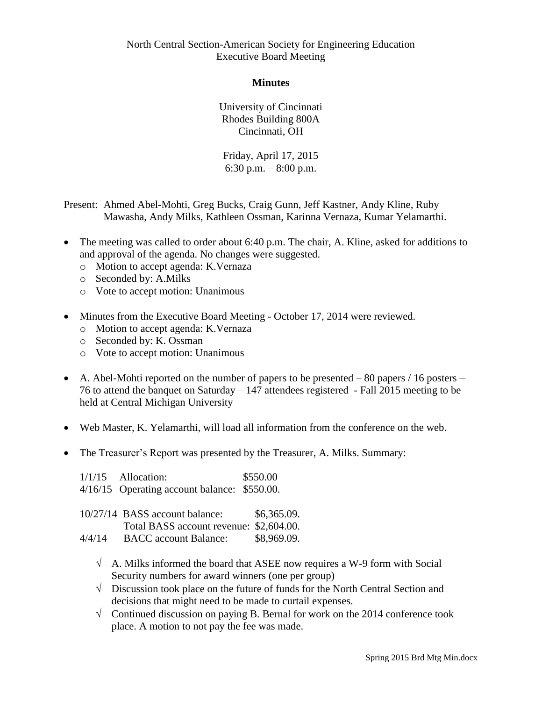North Central Section-American Society for Engineering Education Executive Board Meeting

**Minutes**

University of Cincinnati Rhodes Building 800A Cincinnati, OH

Friday, April 17, 2015 6:30 p.m. – 8:00 p.m.

Present: Ahmed Abel-Mohti, Greg Bucks, Craig Gunn, Jeff Kastner, Andy Kline, Ruby Mawasha, Andy Milks, Kathleen Ossman, Karinna Vernaza, Kumar Yelamarthi.

- The meeting was called to order about 6:40 p.m. The chair, A. Kline, asked for additions to and approval of the agenda. No changes were suggested.
	- o Motion to accept agenda: K.Vernaza
	- o Seconded by: A.Milks
	- o Vote to accept motion: Unanimous
- Minutes from the Executive Board Meeting October 17, 2014 were reviewed.
	- o Motion to accept agenda: K.Vernaza
	- o Seconded by: K. Ossman
	- o Vote to accept motion: Unanimous
- A. Abel-Mohti reported on the number of papers to be presented  $-80$  papers  $/16$  posters 76 to attend the banquet on Saturday – 147 attendees registered - Fall 2015 meeting to be held at Central Michigan University
- Web Master, K. Yelamarthi, will load all information from the conference on the web.
- The Treasurer's Report was presented by the Treasurer, A. Milks. Summary:

1/1/15 Allocation: \$550.00 4/16/15 Operating account balance: \$550.00.

|        | 10/27/14 BASS account balance:          | \$6,365.09. |
|--------|-----------------------------------------|-------------|
|        | Total BASS account revenue: \$2,604.00. |             |
| 4/4/14 | <b>BACC</b> account Balance:            | \$8,969.09. |

- $\sqrt{\phantom{a}}$  A. Milks informed the board that ASEE now requires a W-9 form with Social Security numbers for award winners (one per group)
- $\sqrt{\phantom{a}}$  Discussion took place on the future of funds for the North Central Section and decisions that might need to be made to curtail expenses.
- $\sqrt{\phantom{a}}$  Continued discussion on paying B. Bernal for work on the 2014 conference took place. A motion to not pay the fee was made.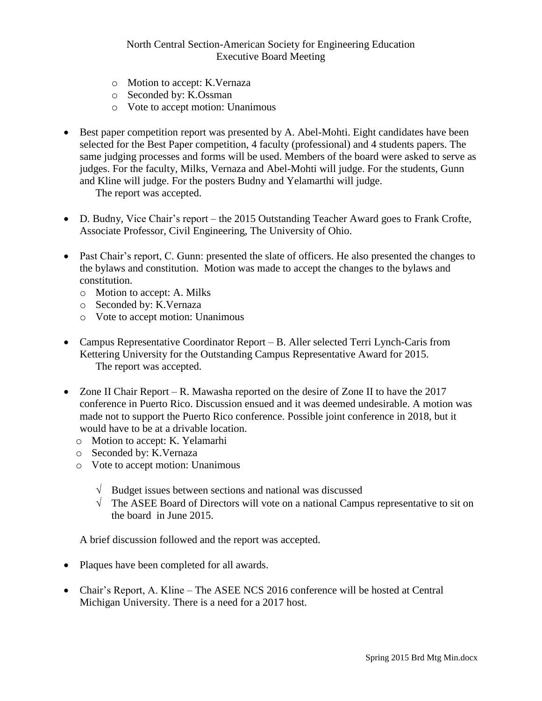## North Central Section-American Society for Engineering Education Executive Board Meeting

- o Motion to accept: K.Vernaza
- o Seconded by: K.Ossman
- o Vote to accept motion: Unanimous
- Best paper competition report was presented by A. Abel-Mohti. Eight candidates have been selected for the Best Paper competition, 4 faculty (professional) and 4 students papers. The same judging processes and forms will be used. Members of the board were asked to serve as judges. For the faculty, Milks, Vernaza and Abel-Mohti will judge. For the students, Gunn and Kline will judge. For the posters Budny and Yelamarthi will judge. The report was accepted.
- D. Budny, Vice Chair's report the 2015 Outstanding Teacher Award goes to Frank Crofte, Associate Professor, Civil Engineering, The University of Ohio.
- Past Chair's report, C. Gunn: presented the slate of officers. He also presented the changes to the bylaws and constitution. Motion was made to accept the changes to the bylaws and constitution.
	- o Motion to accept: A. Milks
	- o Seconded by: K.Vernaza
	- o Vote to accept motion: Unanimous
- Campus Representative Coordinator Report B. Aller selected Terri Lynch-Caris from Kettering University for the Outstanding Campus Representative Award for 2015. The report was accepted.
- Zone II Chair Report R. Mawasha reported on the desire of Zone II to have the 2017 conference in Puerto Rico. Discussion ensued and it was deemed undesirable. A motion was made not to support the Puerto Rico conference. Possible joint conference in 2018, but it would have to be at a drivable location.
	- o Motion to accept: K. Yelamarhi
	- o Seconded by: K.Vernaza
	- o Vote to accept motion: Unanimous
		- $\sqrt{\phantom{a}}$  Budget issues between sections and national was discussed
		- $\sqrt{\phantom{a}}$  The ASEE Board of Directors will vote on a national Campus representative to sit on the board in June 2015.

A brief discussion followed and the report was accepted.

- Plaques have been completed for all awards.
- Chair's Report, A. Kline The ASEE NCS 2016 conference will be hosted at Central Michigan University. There is a need for a 2017 host.